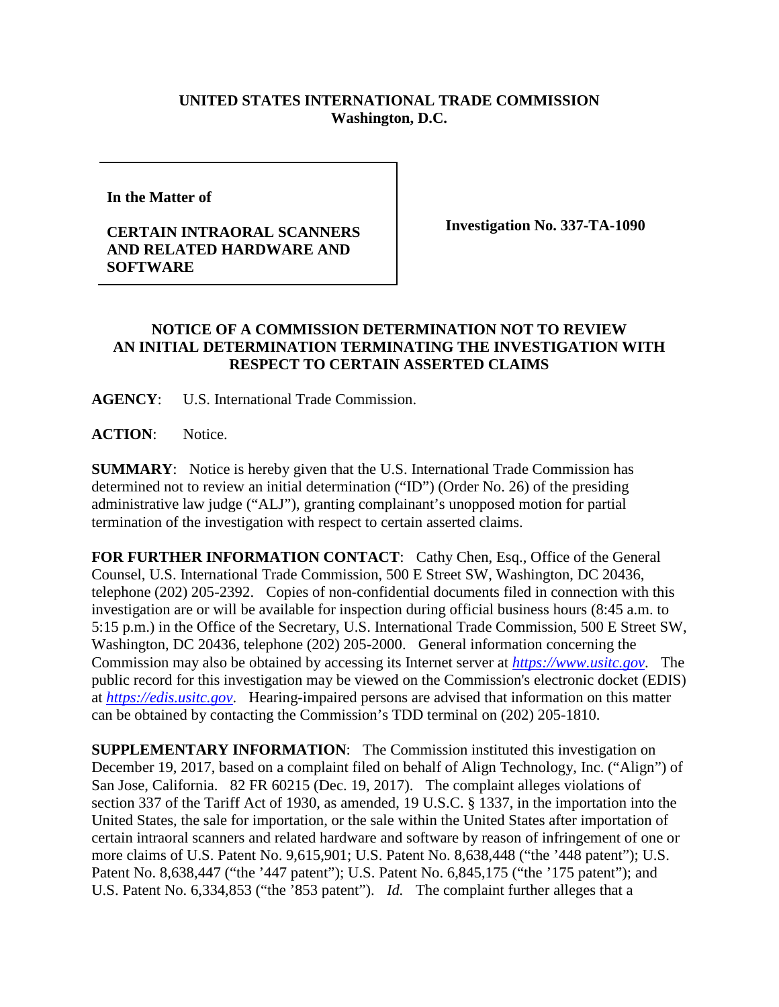## **UNITED STATES INTERNATIONAL TRADE COMMISSION Washington, D.C.**

**In the Matter of** 

## **CERTAIN INTRAORAL SCANNERS AND RELATED HARDWARE AND SOFTWARE**

**Investigation No. 337-TA-1090**

## **NOTICE OF A COMMISSION DETERMINATION NOT TO REVIEW AN INITIAL DETERMINATION TERMINATING THE INVESTIGATION WITH RESPECT TO CERTAIN ASSERTED CLAIMS**

**AGENCY**: U.S. International Trade Commission.

**ACTION**: Notice.

**SUMMARY**: Notice is hereby given that the U.S. International Trade Commission has determined not to review an initial determination ("ID") (Order No. 26) of the presiding administrative law judge ("ALJ"), granting complainant's unopposed motion for partial termination of the investigation with respect to certain asserted claims.

FOR FURTHER INFORMATION CONTACT: Cathy Chen, Esq., Office of the General Counsel, U.S. International Trade Commission, 500 E Street SW, Washington, DC 20436, telephone (202) 205-2392. Copies of non-confidential documents filed in connection with this investigation are or will be available for inspection during official business hours (8:45 a.m. to 5:15 p.m.) in the Office of the Secretary, U.S. International Trade Commission, 500 E Street SW, Washington, DC 20436, telephone (202) 205-2000. General information concerning the Commission may also be obtained by accessing its Internet server at *[https://www.usitc.gov](https://www.usitc.gov/)*. The public record for this investigation may be viewed on the Commission's electronic docket (EDIS) at *[https://edis.usitc.gov](https://edis.usitc.gov/)*. Hearing-impaired persons are advised that information on this matter can be obtained by contacting the Commission's TDD terminal on (202) 205-1810.

**SUPPLEMENTARY INFORMATION**: The Commission instituted this investigation on December 19, 2017, based on a complaint filed on behalf of Align Technology, Inc. ("Align") of San Jose, California. 82 FR 60215 (Dec. 19, 2017). The complaint alleges violations of section 337 of the Tariff Act of 1930, as amended, 19 U.S.C. § 1337, in the importation into the United States, the sale for importation, or the sale within the United States after importation of certain intraoral scanners and related hardware and software by reason of infringement of one or more claims of U.S. Patent No. 9,615,901; U.S. Patent No. 8,638,448 ("the '448 patent"); U.S. Patent No. 8,638,447 ("the '447 patent"); U.S. Patent No. 6,845,175 ("the '175 patent"); and U.S. Patent No. 6,334,853 ("the '853 patent"). *Id.* The complaint further alleges that a